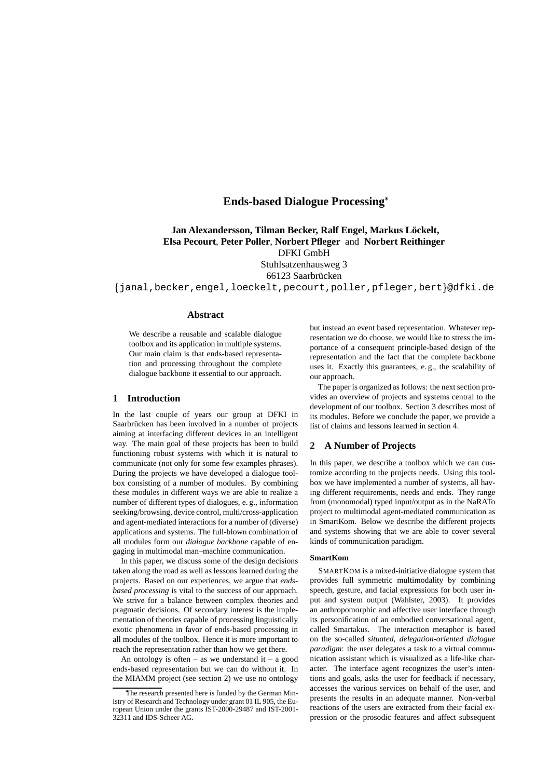# **Ends-based Dialogue Processing**

**Jan Alexandersson, Tilman Becker, Ralf Engel, Markus Lock ¨ elt, Elsa Pecourt**, **Peter Poller**, **Norbert Pfleger** and **Norbert Reithinger**

DFKI GmbH

Stuhlsatzenhausweg 3 66123 Saarbrücken

 $\{\,$ janal,becker,engel, $\,{\tt loeckelt}$ ,pecourt,pol $\,{\tt ler}$ ,pf $\,{\tt leger}$ ,bert $\}$ @dfk ${\tt i}$ .de

# **Abstract**

We describe a reusable and scalable dialogue toolbox and its application in multiple systems. Our main claim is that ends-based representation and processing throughout the complete dialogue backbone it essential to our approach.

# **1 Introduction**

In the last couple of years our group at DFKI in Saarbrücken has been involved in a number of projects aiming at interfacing different devices in an intelligent way. The main goal of these projects has been to build functioning robust systems with which it is natural to communicate (not only for some few examples phrases). During the projects we have developed a dialogue toolbox consisting of a number of modules. By combining these modules in different ways we are able to realize a number of different types of dialogues, e. g., information seeking/browsing, device control, multi/cross-application and agent-mediated interactions for a number of (diverse) applications and systems. The full-blown combination of all modules form our *dialogue backbone* capable of engaging in multimodal man–machine communication.

In this paper, we discuss some of the design decisions taken along the road as well as lessons learned during the projects. Based on our experiences, we argue that *endsbased processing* is vital to the success of our approach. We strive for a balance between complex theories and pragmatic decisions. Of secondary interest is the implementation of theories capable of processing linguistically exotic phenomena in favor of ends-based processing in all modules of the toolbox. Hence it is more important to reach the representation rather than how we get there.

An ontology is often – as we understand it – a good ends-based representation but we can do without it. In the MIAMM project (see section 2) we use no ontology

but instead an event based representation. Whatever representation we do choose, we would like to stress the importance of a consequent principle-based design of the representation and the fact that the complete backbone uses it. Exactly this guarantees, e. g., the scalability of our approach.

The paper is organized as follows: the next section provides an overview of projects and systems central to the development of our toolbox. Section 3 describes most of its modules. Before we conclude the paper, we provide a list of claims and lessons learned in section 4.

### **2 A Number of Projects**

In this paper, we describe a toolbox which we can customize according to the projects needs. Using this toolbox we have implemented a number of systems, all having different requirements, needs and ends. They range from (monomodal) typed input/output as in the NaRATo project to multimodal agent-mediated communication as in SmartKom. Below we describe the different projects and systems showing that we are able to cover several kinds of communication paradigm.

### **SmartKom**

SMARTKOM is a mixed-initiative dialogue system that provides full symmetric multimodality by combining speech, gesture, and facial expressions for both user input and system output (Wahlster, 2003). It provides an anthropomorphic and affective user interface through its personification of an embodied conversational agent, called Smartakus. The interaction metaphor is based on the so-called *situated, delegation-oriented dialogue paradigm*: the user delegates a task to a virtual communication assistant which is visualized as a life-like character. The interface agent recognizes the user's intentions and goals, asks the user for feedback if necessary, accesses the various services on behalf of the user, and presents the results in an adequate manner. Non-verbal reactions of the users are extracted from their facial expression or the prosodic features and affect subsequent

The research presented here is funded by the German Ministry of Research and Technology under grant 01 IL 905, the European Union under the grants IST-2000-29487 and IST-2001- 32311 and IDS-Scheer AG.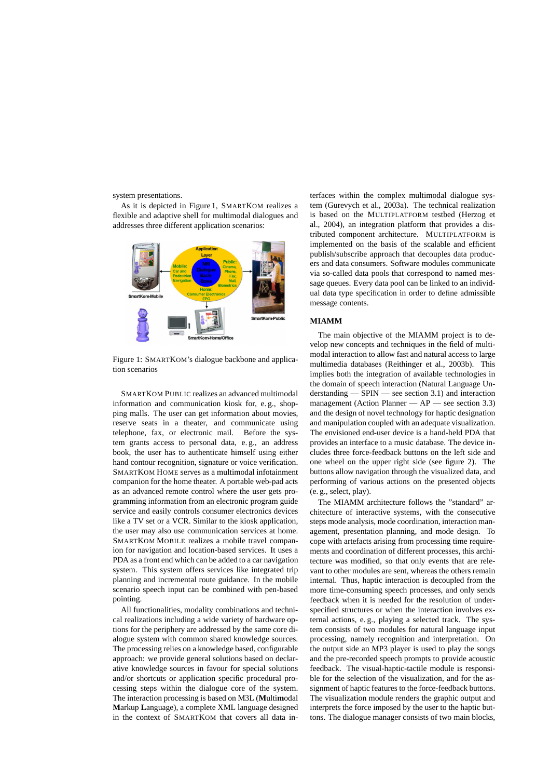system presentations.

As it is depicted in Figure 1, SMARTKOM realizes a flexible and adaptive shell for multimodal dialogues and addresses three different application scenarios:



Figure 1: SMARTKOM's dialogue backbone and application scenarios

SMARTKOM PUBLIC realizes an advanced multimodal information and communication kiosk for, e. g., shopping malls. The user can get information about movies, reserve seats in a theater, and communicate using telephone, fax, or electronic mail. Before the system grants access to personal data, e. g., an address book, the user has to authenticate himself using either hand contour recognition, signature or voice verification. SMARTKOM HOME serves as a multimodal infotainment companion for the home theater. A portable web-pad acts as an advanced remote control where the user gets programming information from an electronic program guide service and easily controls consumer electronics devices like a TV set or a VCR. Similar to the kiosk application, the user may also use communication services at home. SMARTKOM MOBILE realizes a mobile travel companion for navigation and location-based services. It uses a PDA as a front end which can be added to a car navigation system. This system offers services like integrated trip planning and incremental route guidance. In the mobile scenario speech input can be combined with pen-based pointing.

All functionalities, modality combinations and technical realizations including a wide variety of hardware options for the periphery are addressed by the same core dialogue system with common shared knowledge sources. The processing relies on a knowledge based, configurable approach: we provide general solutions based on declarative knowledge sources in favour for special solutions and/or shortcuts or application specific procedural processing steps within the dialogue core of the system. The interaction processing is based on M3L (**M**ulti**m**odal **M**arkup **L**anguage), a complete XML language designed in the context of SMARTKOM that covers all data interfaces within the complex multimodal dialogue system (Gurevych et al., 2003a). The technical realization is based on the MULTIPLATFORM testbed (Herzog et al., 2004), an integration platform that provides a distributed component architecture. MULTIPLATFORM is implemented on the basis of the scalable and efficient publish/subscribe approach that decouples data producers and data consumers. Software modules communicate via so-called data pools that correspond to named message queues. Every data pool can be linked to an individual data type specification in order to define admissible message contents.

### **MIAMM**

The main objective of the MIAMM project is to develop new concepts and techniques in the field of multimodal interaction to allow fast and natural access to large multimedia databases (Reithinger et al., 2003b). This implies both the integration of available technologies in the domain of speech interaction (Natural Language Understanding — SPIN — see section 3.1) and interaction management (Action Planner  $-$  AP  $-$  see section 3.3) and the design of novel technology for haptic designation and manipulation coupled with an adequate visualization. The envisioned end-user device is a hand-held PDA that provides an interface to a music database. The device includes three force-feedback buttons on the left side and one wheel on the upper right side (see figure 2). The buttons allow navigation through the visualized data, and performing of various actions on the presented objects (e. g., select, play).

The MIAMM architecture follows the "standard" architecture of interactive systems, with the consecutive steps mode analysis, mode coordination, interaction management, presentation planning, and mode design. To cope with artefacts arising from processing time requirements and coordination of different processes, this architecture was modified, so that only events that are relevant to other modules are sent, whereas the others remain internal. Thus, haptic interaction is decoupled from the more time-consuming speech processes, and only sends feedback when it is needed for the resolution of underspecified structures or when the interaction involves external actions, e. g., playing a selected track. The system consists of two modules for natural language input processing, namely recognition and interpretation. On the output side an MP3 player is used to play the songs and the pre-recorded speech prompts to provide acoustic feedback. The visual-haptic-tactile module is responsible for the selection of the visualization, and for the assignment of haptic features to the force-feedback buttons. The visualization module renders the graphic output and interprets the force imposed by the user to the haptic buttons. The dialogue manager consists of two main blocks,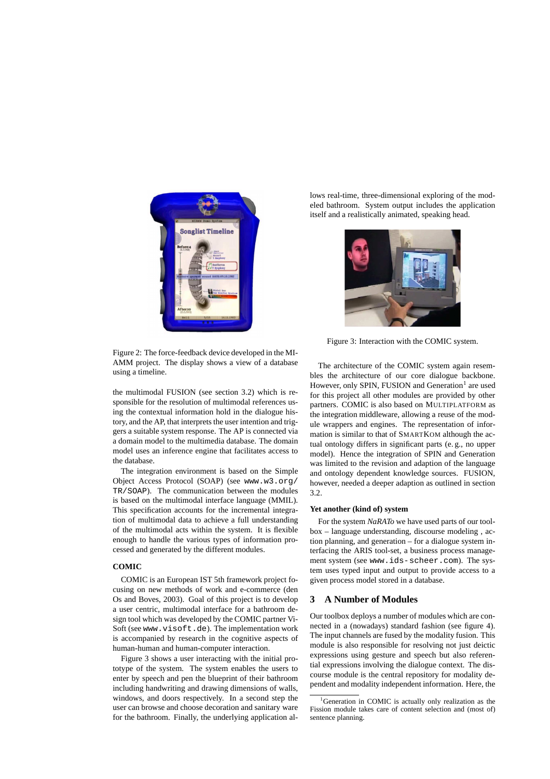

Figure 2: The force-feedback device developed in the MI-AMM project. The display shows a view of a database using a timeline.

the multimodal FUSION (see section 3.2) which is responsible for the resolution of multimodal references using the contextual information hold in the dialogue history, and the AP, that interprets the user intention and triggers a suitable system response. The AP is connected via a domain model to the multimedia database. The domain model uses an inference engine that facilitates access to the database.

The integration environment is based on the Simple Object Access Protocol (SOAP) (see www.w3.org/ TR/SOAP). The communication between the modules is based on the multimodal interface language (MMIL). This specification accounts for the incremental integration of multimodal data to achieve a full understanding of the multimodal acts within the system. It is flexible enough to handle the various types of information processed and generated by the different modules.

### **COMIC**

COMIC is an European IST 5th framework project focusing on new methods of work and e-commerce (den Os and Boves, 2003). Goal of this project is to develop a user centric, multimodal interface for a bathroom design tool which was developed by the COMIC partner Vi-Soft (see www.visoft.de). The implementation work is accompanied by research in the cognitive aspects of human-human and human-computer interaction.

Figure 3 shows a user interacting with the initial prototype of the system. The system enables the users to enter by speech and pen the blueprint of their bathroom including handwriting and drawing dimensions of walls, windows, and doors respectively. In a second step the user can browse and choose decoration and sanitary ware for the bathroom. Finally, the underlying application allows real-time, three-dimensional exploring of the modeled bathroom. System output includes the application itself and a realistically animated, speaking head.



Figure 3: Interaction with the COMIC system.

The architecture of the COMIC system again resembles the architecture of our core dialogue backbone. However, only SPIN, FUSION and Generation<sup>1</sup> are used for this project all other modules are provided by other partners. COMIC is also based on MULTIPLATFORM as the integration middleware, allowing a reuse of the module wrappers and engines. The representation of information is similar to that of SMARTKOM although the actual ontology differs in significant parts (e. g., no upper model). Hence the integration of SPIN and Generation was limited to the revision and adaption of the language and ontology dependent knowledge sources. FUSION, however, needed a deeper adaption as outlined in section 3.2.

### **Yet another (kind of) system**

For the system *NaRATo* we have used parts of our toolbox – language understanding, discourse modeling , action planning, and generation – for a dialogue system interfacing the ARIS tool-set, a business process management system (see www.ids-scheer.com). The system uses typed input and output to provide access to a given process model stored in a database.

# **3 A Number of Modules**

Our toolbox deploys a number of modules which are connected in a (nowadays) standard fashion (see figure 4). The input channels are fused by the modality fusion. This module is also responsible for resolving not just deictic expressions using gesture and speech but also referential expressions involving the dialogue context. The discourse module is the central repository for modality dependent and modality independent information. Here, the

<sup>&</sup>lt;sup>1</sup>Generation in COMIC is actually only realization as the Fission module takes care of content selection and (most of) sentence planning.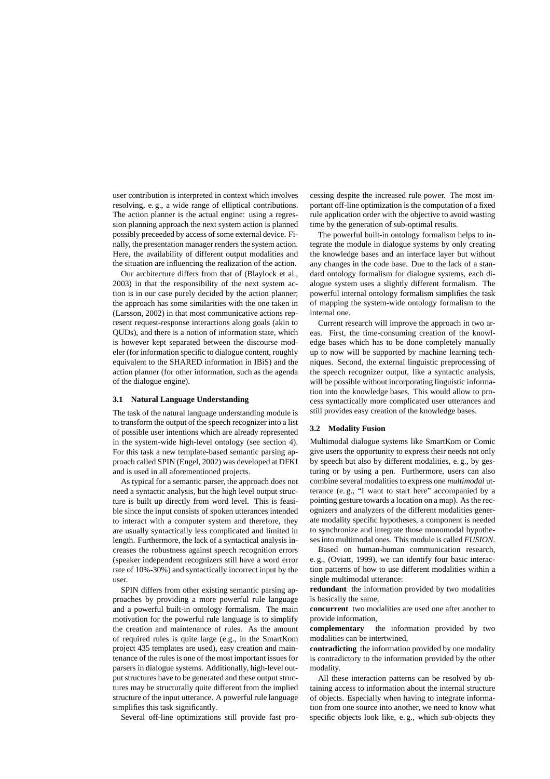user contribution is interpreted in context which involves resolving, e. g., a wide range of elliptical contributions. The action planner is the actual engine: using a regression planning approach the next system action is planned possibly preceeded by access of some external device. Finally, the presentation manager renders the system action. Here, the availability of different output modalities and the situation are influencing the realization of the action.

Our architecture differs from that of (Blaylock et al., 2003) in that the responsibility of the next system action is in our case purely decided by the action planner; the approach has some similarities with the one taken in (Larsson, 2002) in that most communicative actions represent request-response interactions along goals (akin to QUDs), and there is a notion of information state, which is however kept separated between the discourse modeler (for information specific to dialogue content, roughly equivalent to the SHARED information in IBiS) and the action planner (for other information, such as the agenda of the dialogue engine).

# **3.1 Natural Language Understanding**

The task of the natural language understanding module is to transform the output of the speech recognizer into a list of possible user intentions which are already represented in the system-wide high-level ontology (see section 4). For this task a new template-based semantic parsing approach called SPIN (Engel, 2002) was developed at DFKI and is used in all aforementioned projects.

As typical for a semantic parser, the approach does not need a syntactic analysis, but the high level output structure is built up directly from word level. This is feasible since the input consists of spoken utterances intended to interact with a computer system and therefore, they are usually syntactically less complicated and limited in length. Furthermore, the lack of a syntactical analysis increases the robustness against speech recognition errors (speaker independent recognizers still have a word error rate of 10%-30%) and syntactically incorrect input by the user.

SPIN differs from other existing semantic parsing approaches by providing a more powerful rule language and a powerful built-in ontology formalism. The main motivation for the powerful rule language is to simplify the creation and maintenance of rules. As the amount of required rules is quite large (e.g., in the SmartKom project 435 templates are used), easy creation and maintenance of the rules is one of the most important issuesfor parsers in dialogue systems. Additionally, high-level output structures have to be generated and these output structures may be structurally quite different from the implied structure of the input utterance. A powerful rule language simplifies this task significantly.

Several off-line optimizations still provide fast pro-

cessing despite the increased rule power. The most important off-line optimization is the computation of a fixed rule application order with the objective to avoid wasting time by the generation of sub-optimal results.

The powerful built-in ontology formalism helps to integrate the module in dialogue systems by only creating the knowledge bases and an interface layer but without any changes in the code base. Due to the lack of a standard ontology formalism for dialogue systems, each dialogue system uses a slightly different formalism. The powerful internal ontology formalism simplifies the task of mapping the system-wide ontology formalism to the internal one.

Current research will improve the approach in two areas. First, the time-consuming creation of the knowledge bases which has to be done completely manually up to now will be supported by machine learning techniques. Second, the external linguistic preprocessing of the speech recognizer output, like a syntactic analysis, will be possible without incorporating linguistic information into the knowledge bases. This would allow to process syntactically more complicated user utterances and still provides easy creation of the knowledge bases.

#### **3.2 Modality Fusion**

Multimodal dialogue systems like SmartKom or Comic give users the opportunity to express their needs not only by speech but also by different modalities, e. g., by gesturing or by using a pen. Furthermore, users can also combine several modalities to express one *multimodal* utterance (e. g., "I want to start here" accompanied by a pointing gesture towards a location on a map). As the recognizers and analyzers of the different modalities generate modality specific hypotheses, a component is needed to synchronize and integrate those monomodal hypotheses into multimodal ones. This module is called *FUSION*.

Based on human-human communication research, e. g., (Oviatt, 1999), we can identify four basic interaction patterns of how to use different modalities within a single multimodal utterance:

**redundant** the information provided by two modalities is basically the same,

**concurrent** two modalities are used one after another to provide information,

**complementary** the information provided by two modalities can be intertwined,

**contradicting** the information provided by one modality is contradictory to the information provided by the other modality.

All these interaction patterns can be resolved by obtaining access to information about the internal structure of objects. Especially when having to integrate information from one source into another, we need to know what specific objects look like, e. g., which sub-objects they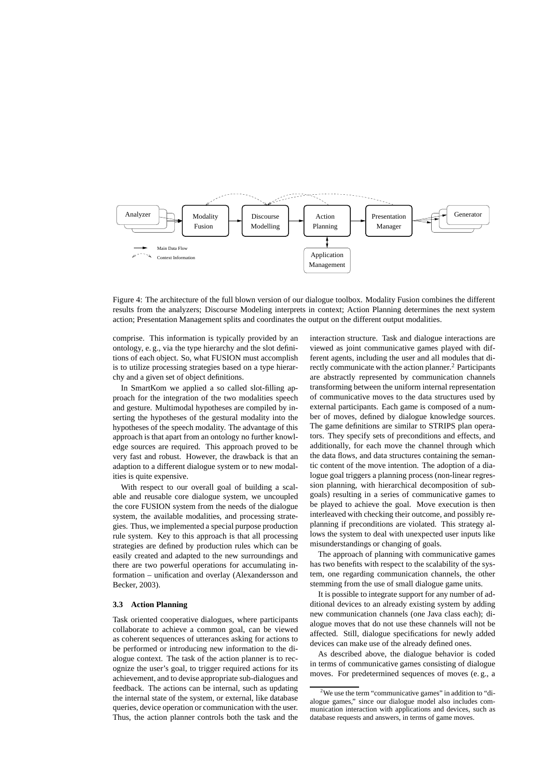

Figure 4: The architecture of the full blown version of our dialogue toolbox. Modality Fusion combines the different results from the analyzers; Discourse Modeling interprets in context; Action Planning determines the next system action; Presentation Management splits and coordinates the output on the different output modalities.

comprise. This information is typically provided by an ontology, e. g., via the type hierarchy and the slot definitions of each object. So, what FUSION must accomplish is to utilize processing strategies based on a type hierarchy and a given set of object definitions.

In SmartKom we applied a so called slot-filling approach for the integration of the two modalities speech and gesture. Multimodal hypotheses are compiled by inserting the hypotheses of the gestural modality into the hypotheses of the speech modality. The advantage of this approach is that apart from an ontology no further knowledge sources are required. This approach proved to be very fast and robust. However, the drawback is that an adaption to a different dialogue system or to new modalities is quite expensive.

With respect to our overall goal of building a scalable and reusable core dialogue system, we uncoupled the core FUSION system from the needs of the dialogue system, the available modalities, and processing strategies. Thus, we implemented a special purpose production rule system. Key to this approach is that all processing strategies are defined by production rules which can be easily created and adapted to the new surroundings and there are two powerful operations for accumulating information – unification and overlay (Alexandersson and Becker, 2003).

### **3.3 Action Planning**

Task oriented cooperative dialogues, where participants collaborate to achieve a common goal, can be viewed as coherent sequences of utterances asking for actions to be performed or introducing new information to the dialogue context. The task of the action planner is to recognize the user's goal, to trigger required actions for its achievement, and to devise appropriate sub-dialogues and feedback. The actions can be internal, such as updating the internal state of the system, or external, like database queries, device operation or communication with the user. Thus, the action planner controls both the task and the

interaction structure. Task and dialogue interactions are viewed as joint communicative games played with different agents, including the user and all modules that directly communicate with the action planner. <sup>2</sup> Participants are abstractly represented by communication channels transforming between the uniform internal representation of communicative moves to the data structures used by external participants. Each game is composed of a number of moves, defined by dialogue knowledge sources. The game definitions are similar to STRIPS plan operators. They specify sets of preconditions and effects, and additionally, for each move the channel through which the data flows, and data structures containing the semantic content of the move intention. The adoption of a dialogue goal triggers a planning process (non-linear regression planning, with hierarchical decomposition of subgoals) resulting in a series of communicative games to be played to achieve the goal. Move execution is then interleaved with checking their outcome, and possibly replanning if preconditions are violated. This strategy allows the system to deal with unexpected user inputs like misunderstandings or changing of goals.

The approach of planning with communicative games has two benefits with respect to the scalability of the system, one regarding communication channels, the other stemming from the use of small dialogue game units.

It is possible to integrate support for any number of additional devices to an already existing system by adding new communication channels (one Java class each); dialogue moves that do not use these channels will not be affected. Still, dialogue specifications for newly added devices can make use of the already defined ones.

As described above, the dialogue behavior is coded in terms of communicative games consisting of dialogue moves. For predetermined sequences of moves (e. g., a

<sup>&</sup>lt;sup>2</sup>We use the term "communicative games" in addition to "dialogue games," since our dialogue model also includes communication interaction with applications and devices, such as database requests and answers, in terms of game moves.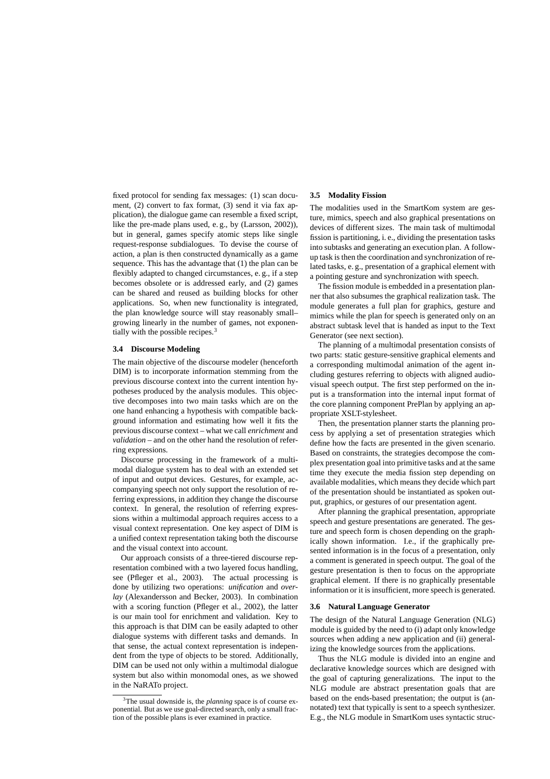fixed protocol for sending fax messages: (1) scan document, (2) convert to fax format, (3) send it via fax application), the dialogue game can resemble a fixed script, like the pre-made plans used, e. g., by (Larsson, 2002)), but in general, games specify atomic steps like single request-response subdialogues. To devise the course of action, a plan is then constructed dynamically as a game sequence. This has the advantage that (1) the plan can be flexibly adapted to changed circumstances, e. g., if a step becomes obsolete or is addressed early, and (2) games can be shared and reused as building blocks for other applications. So, when new functionality is integrated, the plan knowledge source will stay reasonably small– growing linearly in the number of games, not exponentially with the possible recipes.<sup>3</sup>

# **3.4 Discourse Modeling**

The main objective of the discourse modeler (henceforth DIM) is to incorporate information stemming from the previous discourse context into the current intention hypotheses produced by the analysis modules. This objective decomposes into two main tasks which are on the one hand enhancing a hypothesis with compatible background information and estimating how well it fits the previous discourse context – what we call *enrichment* and *validation* – and on the other hand the resolution of referring expressions.

Discourse processing in the framework of a multimodal dialogue system has to deal with an extended set of input and output devices. Gestures, for example, accompanying speech not only support the resolution of referring expressions, in addition they change the discourse context. In general, the resolution of referring expressions within a multimodal approach requires access to a visual context representation. One key aspect of DIM is a unified context representation taking both the discourse and the visual context into account.

Our approach consists of a three-tiered discourse representation combined with a two layered focus handling, see (Pfleger et al., 2003). The actual processing is done by utilizing two operations: *unification* and *overlay* (Alexandersson and Becker, 2003). In combination with a scoring function (Pfleger et al., 2002), the latter is our main tool for enrichment and validation. Key to this approach is that DIM can be easily adapted to other dialogue systems with different tasks and demands. In that sense, the actual context representation is independent from the type of objects to be stored. Additionally, DIM can be used not only within a multimodal dialogue system but also within monomodal ones, as we showed in the NaRATo project.

### **3.5 Modality Fission**

The modalities used in the SmartKom system are gesture, mimics, speech and also graphical presentations on devices of different sizes. The main task of multimodal fission is partitioning, i. e., dividing the presentation tasks into subtasks and generating an execution plan. A followup task is then the coordination and synchronization of related tasks, e. g., presentation of a graphical element with a pointing gesture and synchronization with speech.

The fission module is embedded in a presentation planner that also subsumes the graphical realization task. The module generates a full plan for graphics, gesture and mimics while the plan for speech is generated only on an abstract subtask level that is handed as input to the Text Generator (see next section).

The planning of a multimodal presentation consists of two parts: static gesture-sensitive graphical elements and a corresponding multimodal animation of the agent including gestures referring to objects with aligned audiovisual speech output. The first step performed on the input is a transformation into the internal input format of the core planning component PrePlan by applying an appropriate XSLT-stylesheet.

Then, the presentation planner starts the planning process by applying a set of presentation strategies which define how the facts are presented in the given scenario. Based on constraints, the strategies decompose the complex presentation goal into primitive tasks and at the same time they execute the media fission step depending on available modalities, which means they decide which part of the presentation should be instantiated as spoken output, graphics, or gestures of our presentation agent.

After planning the graphical presentation, appropriate speech and gesture presentations are generated. The gesture and speech form is chosen depending on the graphically shown information. I.e., if the graphically presented information is in the focus of a presentation, only a comment is generated in speech output. The goal of the gesture presentation is then to focus on the appropriate graphical element. If there is no graphically presentable information or it is insufficient, more speech is generated.

#### **3.6 Natural Language Generator**

The design of the Natural Language Generation (NLG) module is guided by the need to (i) adapt only knowledge sources when adding a new application and (ii) generalizing the knowledge sources from the applications.

Thus the NLG module is divided into an engine and declarative knowledge sources which are designed with the goal of capturing generalizations. The input to the NLG module are abstract presentation goals that are based on the ends-based presentation; the output is (annotated) text that typically is sent to a speech synthesizer. E.g., the NLG module in SmartKom uses syntactic struc-

<sup>&</sup>lt;sup>3</sup>The usual downside is, the *planning* space is of course exponential. But as we use goal-directed search, only a small fraction of the possible plans is ever examined in practice.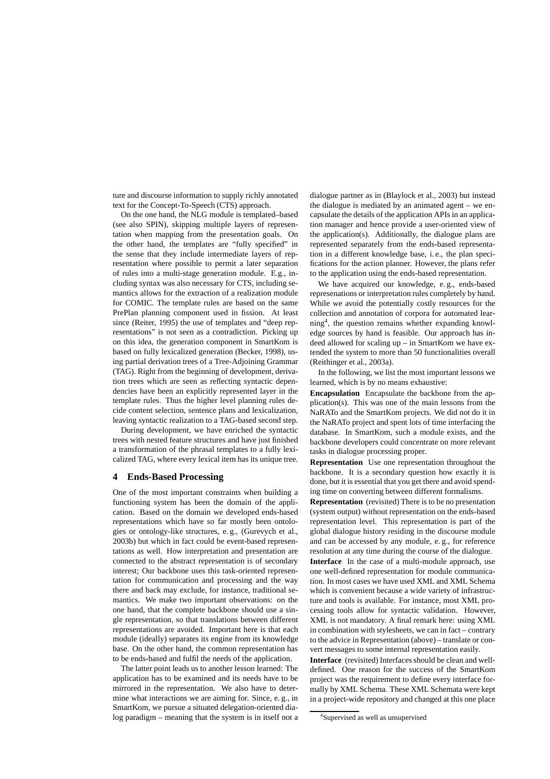ture and discourse information to supply richly annotated text for the Concept-To-Speech (CTS) approach.

On the one hand, the NLG module is templated–based (see also SPIN), skipping multiple layers of representation when mapping from the presentation goals. On the other hand, the templates are "fully specified" in the sense that they include intermediate layers of representation where possible to permit a later separation of rules into a multi-stage generation module. E.g., including syntax was also necessary for CTS, including semantics allows for the extraction of a realization module for COMIC. The template rules are based on the same PrePlan planning component used in fission. At least since (Reiter, 1995) the use of templates and "deep representations" is not seen as a contradiction. Picking up on this idea, the generation component in SmartKom is based on fully lexicalized generation (Becker, 1998), using partial derivation trees of a Tree-Adjoining Grammar (TAG). Right from the beginning of development, derivation trees which are seen as reflecting syntactic dependencies have been an explicitly represented layer in the template rules. Thus the higher level planning rules decide content selection, sentence plans and lexicalization, leaving syntactic realization to a TAG-based second step.

During development, we have enriched the syntactic trees with nested feature structures and have just finished a transformation of the phrasal templates to a fully lexicalized TAG, where every lexical item has its unique tree.

### **4 Ends-Based Processing**

One of the most important constraints when building a functioning system has been the domain of the application. Based on the domain we developed ends-based representations which have so far mostly been ontologies or ontology-like structures, e. g., (Gurevych et al., 2003b) but which in fact could be event-based representations as well. How interpretation and presentation are connected to the abstract representation is of secondary interest; Our backbone uses this task-oriented representation for communication and processing and the way there and back may exclude, for instance, traditional semantics. We make two important observations: on the one hand, that the complete backbone should use a single representation, so that translations between different representations are avoided. Important here is that each module (ideally) separates its engine from its knowledge base. On the other hand, the common representation has to be ends-based and fulfil the needs of the application.

The latter point leads us to another lesson learned: The application has to be examined and its needs have to be mirrored in the representation. We also have to determine what interactions we are aiming for. Since, e. g., in SmartKom, we pursue a situated delegation-oriented dialog paradigm – meaning that the system is in itself not a

dialogue partner as in (Blaylock et al., 2003) but instead the dialogue is mediated by an animated agent – we encapsulate the details of the application APIsin an application manager and hence provide a user-oriented view of the application(s). Additionally, the dialogue plans are represented separately from the ends-based representation in a different knowledge base, i. e., the plan specifications for the action planner. However, the plans refer to the application using the ends-based representation.

We have acquired our knowledge, e. g., ends-based represenations or interpretation rules completely by hand. While we avoid the potentially costly resources for the collection and annotation of corpora for automated learning<sup>4</sup> , the question remains whether expanding knowledge sources by hand is feasible. Our approach has indeed allowed for scaling up – in SmartKom we have extended the system to more than 50 functionalities overall (Reithinger et al., 2003a).

In the following, we list the most important lessons we learned, which is by no means exhaustive:

**Encapsulation** Encapsulate the backbone from the application(s). This was one of the main lessons from the NaRATo and the SmartKom projects. We did not do it in the NaRATo project and spent lots of time interfacing the database. In SmartKom, such a module exists, and the backbone developers could concentrate on more relevant tasks in dialogue processing proper.

**Representation** Use one representation throughout the backbone. It is a secondary question how exactly it is done, but it is essential that you get there and avoid spending time on converting between different formalisms.

**Representation** (revisited) There is to be no presentation (system output) without representation on the ends-based representation level. This representation is part of the global dialogue history residing in the discourse module and can be accessed by any module, e. g., for reference resolution at any time during the course of the dialogue.

**Interface** In the case of a multi-module approach, use one well-defined representation for module communication. In most cases we have used XML and XML Schema which is convenient because a wide variety of infrastructure and tools is available. For instance, most XML processing tools allow for syntactic validation. However, XML is not mandatory. A final remark here: using XML in combination with stylesheets, we can in fact – contrary to the advice in Representation (above) – translate or convert messages to some internal representation easily.

**Interface** (revisited) Interfaces should be clean and welldefined. One reason for the success of the SmartKom project was the requirement to define every interface formally by XML Schema. These XML Schemata were kept in a project-wide repository and changed at this one place

<sup>4</sup> Supervised as well as unsupervised